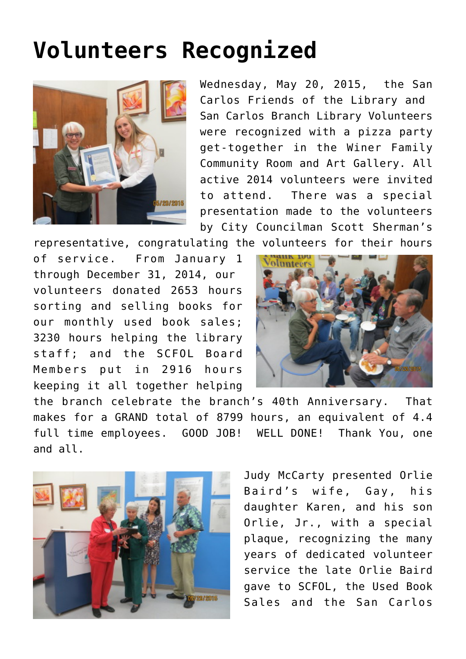## **[Volunteers Recognized](https://sancarlosfriendsofthelibrary.org/2015/05/21/volunteer-recognition-party/)**



Wednesday, May 20, 2015, the San Carlos Friends of the Library and San Carlos Branch Library Volunteers were recognized with a pizza party get-together in the Winer Family Community Room and Art Gallery. All active 2014 volunteers were invited to attend. There was a special presentation made to the volunteers by City Councilman Scott Sherman's

representative, congratulating the volunteers for their hours

of service. From January 1 through December 31, 2014, our volunteers donated 2653 hours sorting and selling books for our monthly used book sales; 3230 hours helping the library staff; and the SCFOL Board Members put in 2916 hours keeping it all together helping



the branch celebrate the branch's 40th Anniversary. That makes for a GRAND total of 8799 hours, an equivalent of 4.4 full time employees. GOOD JOB! WELL DONE! Thank You, one and all.



Judy McCarty presented Orlie Baird's wife, Gay, his daughter Karen, and his son Orlie, Jr., with a special plaque, recognizing the many years of dedicated volunteer service the late Orlie Baird gave to SCFOL, the Used Book Sales and the San Carlos